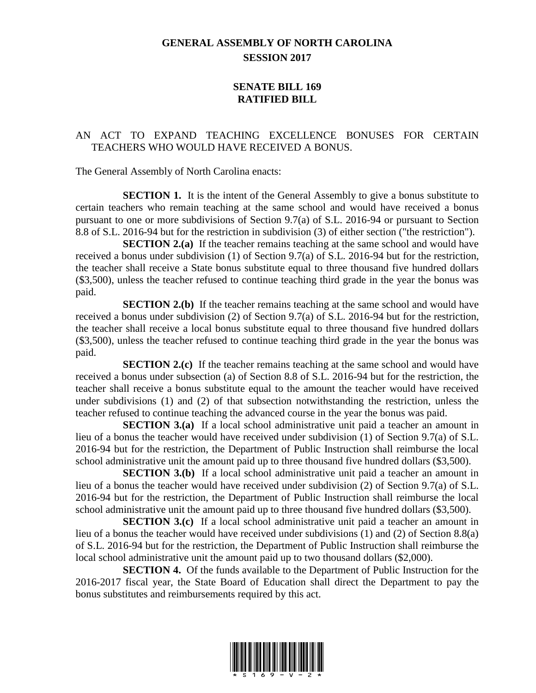## **GENERAL ASSEMBLY OF NORTH CAROLINA SESSION 2017**

## **SENATE BILL 169 RATIFIED BILL**

## AN ACT TO EXPAND TEACHING EXCELLENCE BONUSES FOR CERTAIN TEACHERS WHO WOULD HAVE RECEIVED A BONUS.

The General Assembly of North Carolina enacts:

**SECTION 1.** It is the intent of the General Assembly to give a bonus substitute to certain teachers who remain teaching at the same school and would have received a bonus pursuant to one or more subdivisions of Section 9.7(a) of S.L. 2016-94 or pursuant to Section 8.8 of S.L. 2016-94 but for the restriction in subdivision (3) of either section ("the restriction").

**SECTION 2.(a)** If the teacher remains teaching at the same school and would have received a bonus under subdivision (1) of Section 9.7(a) of S.L. 2016-94 but for the restriction, the teacher shall receive a State bonus substitute equal to three thousand five hundred dollars (\$3,500), unless the teacher refused to continue teaching third grade in the year the bonus was paid.

**SECTION 2.(b)** If the teacher remains teaching at the same school and would have received a bonus under subdivision (2) of Section 9.7(a) of S.L. 2016-94 but for the restriction, the teacher shall receive a local bonus substitute equal to three thousand five hundred dollars (\$3,500), unless the teacher refused to continue teaching third grade in the year the bonus was paid.

**SECTION 2.(c)** If the teacher remains teaching at the same school and would have received a bonus under subsection (a) of Section 8.8 of S.L. 2016-94 but for the restriction, the teacher shall receive a bonus substitute equal to the amount the teacher would have received under subdivisions (1) and (2) of that subsection notwithstanding the restriction, unless the teacher refused to continue teaching the advanced course in the year the bonus was paid.

**SECTION 3.(a)** If a local school administrative unit paid a teacher an amount in lieu of a bonus the teacher would have received under subdivision (1) of Section 9.7(a) of S.L. 2016-94 but for the restriction, the Department of Public Instruction shall reimburse the local school administrative unit the amount paid up to three thousand five hundred dollars (\$3,500).

**SECTION 3.(b)** If a local school administrative unit paid a teacher an amount in lieu of a bonus the teacher would have received under subdivision (2) of Section 9.7(a) of S.L. 2016-94 but for the restriction, the Department of Public Instruction shall reimburse the local school administrative unit the amount paid up to three thousand five hundred dollars (\$3,500).

**SECTION 3.(c)** If a local school administrative unit paid a teacher an amount in lieu of a bonus the teacher would have received under subdivisions (1) and (2) of Section 8.8(a) of S.L. 2016-94 but for the restriction, the Department of Public Instruction shall reimburse the local school administrative unit the amount paid up to two thousand dollars (\$2,000).

**SECTION 4.** Of the funds available to the Department of Public Instruction for the 2016-2017 fiscal year, the State Board of Education shall direct the Department to pay the bonus substitutes and reimbursements required by this act.